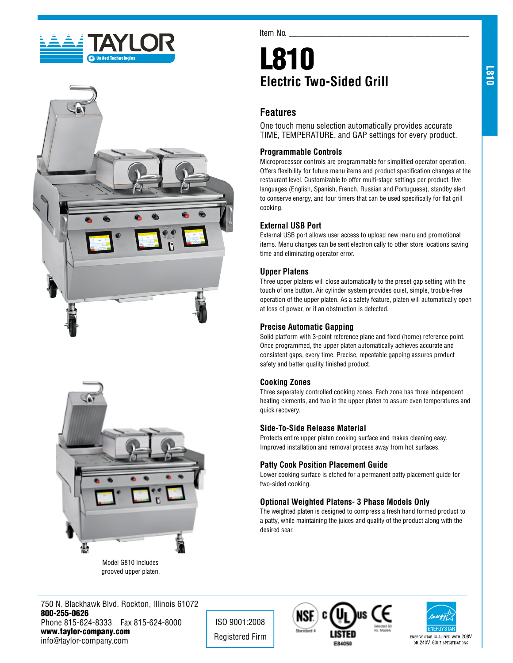





grooved upper platen.

Item No.

# L810 **Electric Two-Sided Grill**

# **Features**

One touch menu selection automatically provides accurate TIME, TEMPERATURE, and GAP settings for every product.

#### **Programmable Controls**

Microprocessor controls are programmable for simplified operator operation. Offers flexibility for future menu items and product specification changes at the restaurant level. Customizable to offer multi-stage settings per product, five languages (English, Spanish, French, Russian and Portuguese), standby alert to conserve energy, and four timers that can be used specifically for flat grill cooking.

## **External USB Port**

External USB port allows user access to upload new menu and promotional items. Menu changes can be sent electronically to other store locations saving time and eliminating operator error.

#### **Upper Platens**

Three upper platens will close automatically to the preset gap setting with the touch of one button. Air cylinder system provides quiet, simple, trouble-free operation of the upper platen. As a safety feature, platen will automatically open at loss of power, or if an obstruction is detected.

#### **Precise Automatic Gapping**

Solid platform with 3-point reference plane and fixed (home) reference point. Once programmed, the upper platen automatically achieves accurate and consistent gaps, every time. Precise, repeatable gapping assures product safety and better quality finished product.

#### **Cooking Zones**

Three separately controlled cooking zones. Each zone has three independent heating elements, and two in the upper platen to assure even temperatures and quick recovery.

#### **Side-To-Side Release Material**

Protects entire upper platen cooking surface and makes cleaning easy. Improved installation and removal process away from hot surfaces.

## **Patty Cook Position Placement Guide**

Lower cooking surface is etched for a permanent patty placement guide for two-sided cooking.

## **Optional Weighted Platens- 3 Phase Models Only**

The weighted platen is designed to compress a fresh hand formed product to a patty, while maintaining the juices and quality of the product along with the desired sear.

750 N. Blackhawk Blvd. Rockton, Illinois 61072 800-255-0626 Phone 815-624-8333 Fax 815-624-8000 www.taylor-company.com info@taylor-company.com

ISO 9001:2008 Registered Firm





ENERGY STAR QUALIFIED WITH 208V OR 240V, 60HZ SPECIFICATIONS